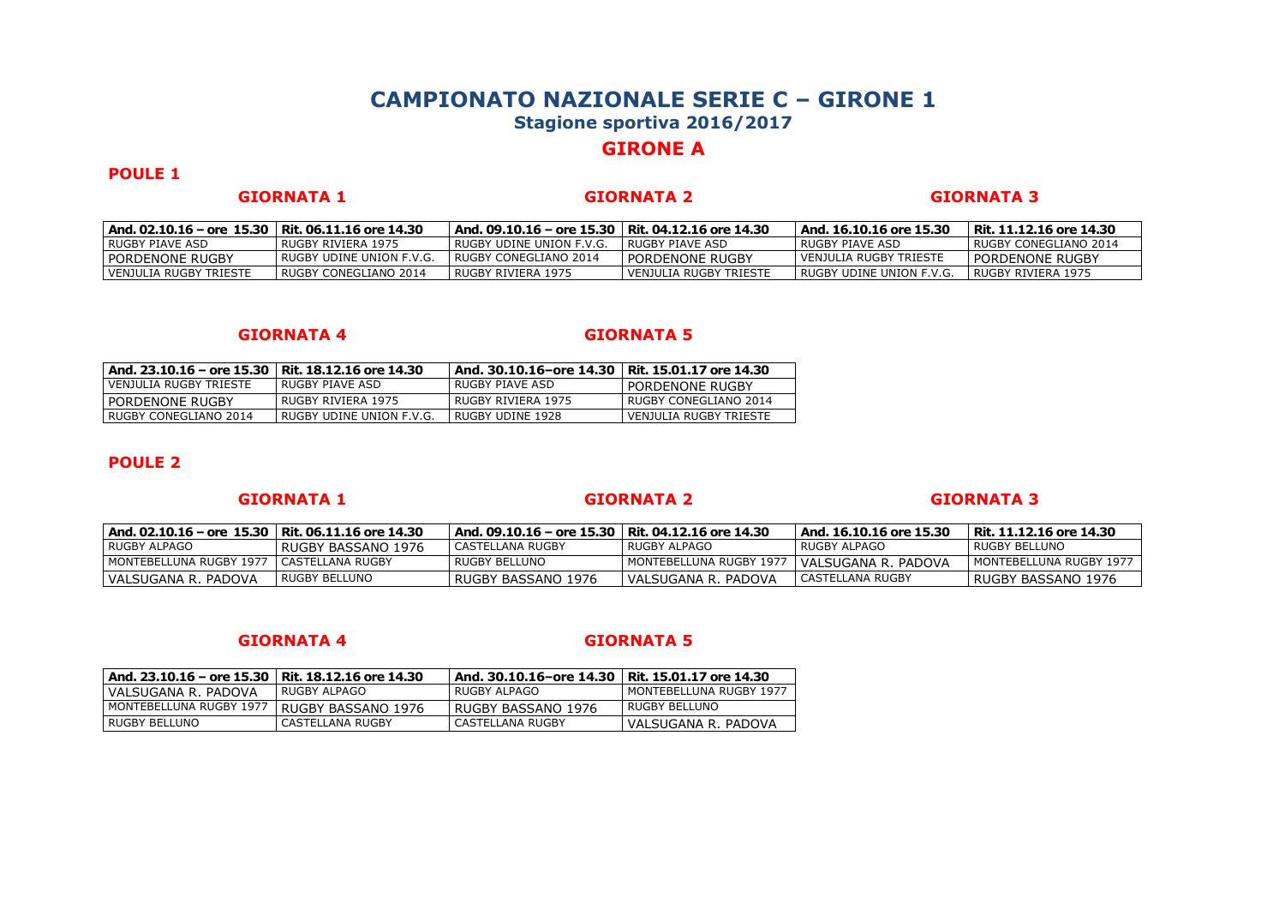# **GIRONE A**

## **POULE 1**

### **GIORNATA 1 GIORNATA 2 GIORNATA 3**

| And. 02.10.16 – ore 15.30   Rit. 06.11.16 ore 14.30 |                          | ' And. 09.10.16 – ore 15.30   Rit. 04.12.16 ore 14.30 |                        | And. 16.10.16 ore 15.30    | Rit. 11.12.16 ore 14.30 |
|-----------------------------------------------------|--------------------------|-------------------------------------------------------|------------------------|----------------------------|-------------------------|
| I RUGBY PIAVE ASD                                   | RUGBY RIVIERA 1975       | I RUGBY UDINE UNION F.V.G.                            | RUGBY PIAVE ASD        | I RUGBY PIAVE ASD          | I RUGBY CONEGLIANO 2014 |
| I PORDENONE RUGBY                                   | RUGBY UDINE UNION F.V.G. | RUGBY CONEGLIANO 2014                                 | PORDENONE RUGBY        | l VENJULIA RUGBY TRIESTE   | l pordenone rugby       |
| I VENJULIA RUGBY TRIESTE                            | RUGBY CONEGLIANO 2014    | l RUGBY RIVIERA 1975                                  | VENJULIA RUGBY TRIESTE | l RUGBY UDINE UNION F.V.G. | l RUGBY RIVIERA 1975    |

### **GIORNATA 4 GIORNATA 5**

| And. 23.10.16 - ore 15.30 | Rit. 18.12.16 ore 14.30  | And. 30.10.16-ore 14.30 | Rit. 15.01.17 ore 14.30 |
|---------------------------|--------------------------|-------------------------|-------------------------|
| VENJULIA RUGBY TRIESTE    | RUGBY PIAVE ASD          | RUGBY PIAVE ASD         | PORDENONE RUGBY         |
| PORDENONE RUGBY           | RUGBY RIVIERA 1975       | RUGBY RIVIERA 1975      | RUGBY CONEGLIANO 2014   |
| RUGBY CONEGLIANO 2014     | RUGBY UDINE UNION F.V.G. | RUGBY UDINE 1928        | VENJULIA RUGBY TRIESTE  |

## **POULE 2**

## **GIORNATA 1 GIORNATA 2 GIORNATA 3**

| And. 02.10.16 – ore 15.30   Rit. 06.11.16 ore 14.30 |                      | And. 09.10.16 – ore 15.30   Rit. 04.12.16 ore 14.30 |                         | And. 16.10.16 ore 15.30 | Rit. 11.12.16 ore 14.30   |
|-----------------------------------------------------|----------------------|-----------------------------------------------------|-------------------------|-------------------------|---------------------------|
| l RUGBY ALPAGO                                      | l RUGBY BASSANO 1976 | I CASTELLANA RUGBY                                  | RUGBY ALPAGO            | I RUGBY ALPAGO          | l RUGBY BELLUNO           |
| l MONTEBELLUNA RUGBY 1977   CASTELLANA RUGBY        |                      | I RUGBY BELLUNO                                     | MONTEBELLUNA RUGBY 1977 | I VALSUGANA R. PADOVA   | I MONTEBELLUNA RUGBY 1977 |
| l VALSUGANA R. PADOVA                               | RUGBY BELLUNO        | l RUGBY BASSANO 1976                                | l VALSUGANA R. PADOVA   | CASTELLANA RUGBY        | l RUGBY BASSANO 1976      |

| And. 23.10.16 - ore 15.30   Rit. 18.12.16 ore 14.30 |                    | And. 30.10.16-ore 14.30 | Rit. 15.01.17 ore 14.30 |
|-----------------------------------------------------|--------------------|-------------------------|-------------------------|
| VALSUGANA R. PADOVA                                 | RUGBY ALPAGO       | RUGBY ALPAGO            | MONTEBELLUNA RUGBY 1977 |
| MONTEBELLUNA RUGBY 1977                             | RUGBY BASSANO 1976 | RUGBY BASSANO 1976      | RUGBY BELLUNO           |
| RUGBY BELLUNO                                       | CASTELLANA RUGBY   | CASTELLANA RUGBY        | VALSUGANA R. PADOVA     |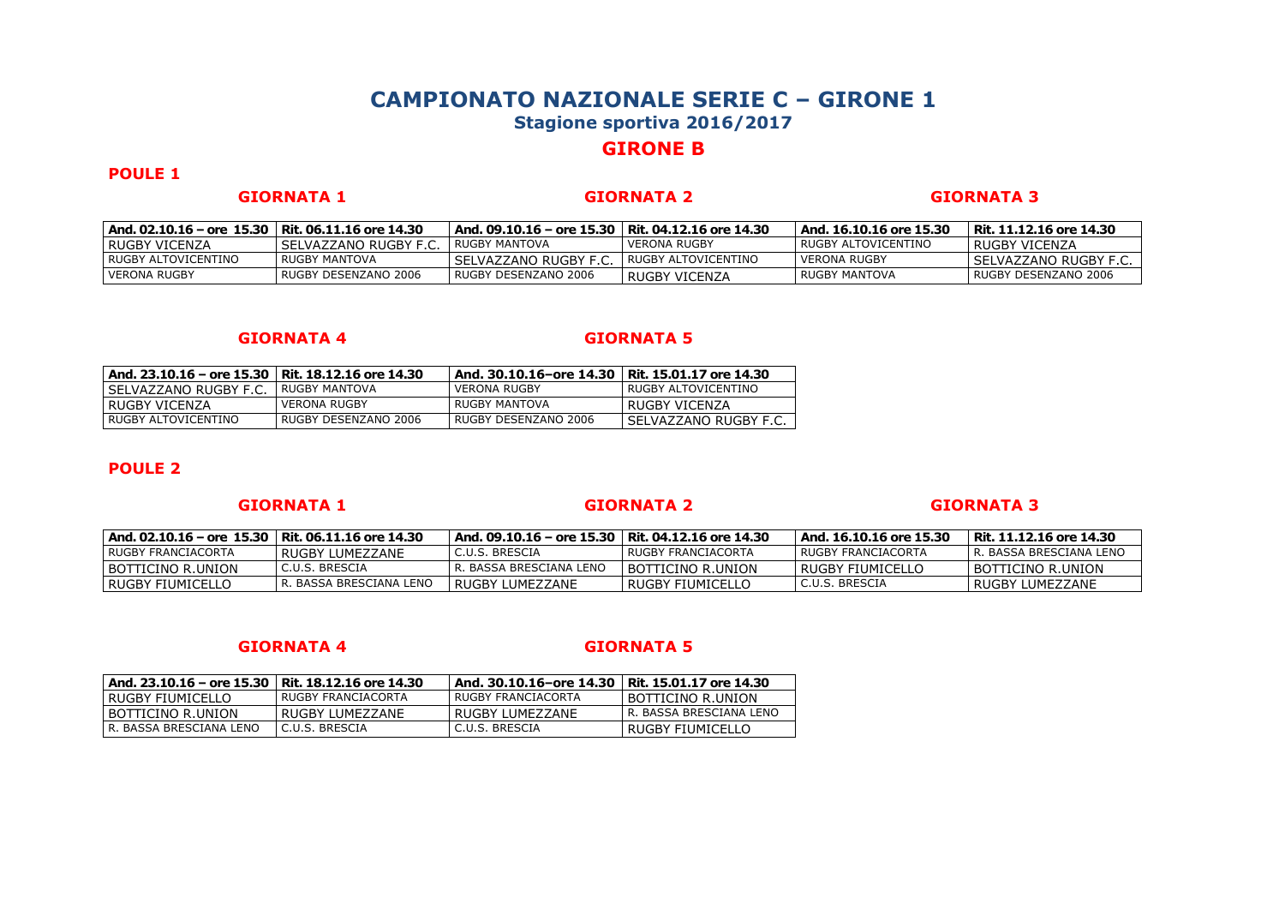# **GIRONE B**

## **POULE 1**

### **GIORNATA 1 GIORNATA 2 GIORNATA 3**

| And. 02.10.16 – ore 15.30   Rit. 06.11.16 ore 14.30 |                       | And. 09.10.16 – ore 15.30   Rit. 04.12.16 ore 14.30 |                     | And. 16.10.16 ore 15.30 | Rit. 11.12.16 ore 14.30 |
|-----------------------------------------------------|-----------------------|-----------------------------------------------------|---------------------|-------------------------|-------------------------|
| I RUGBY VICENZA                                     | SELVAZZANO RUGBY F.C. | I RUGBY MANTOVA                                     | VERONA RUGBY        | l RUGBY ALTOVICENTINO   | I RUGBY VICENZA         |
| I RUGBY ALTOVICENTINO                               | RUGBY MANTOVA         | l SELVAZZANO RUGBY F.C.                             | RUGBY ALTOVICENTINO | VERONA RUGBY            | l SELVAZZANO RUGBY F.C. |
| VERONA RUGBY                                        | RUGBY DESENZANO 2006  | RUGBY DESENZANO 2006                                | RUGBY VICENZA       | l RUGBY MANTOVA         | RUGBY DESENZANO 2006    |

### **GIORNATA 4 GIORNATA 5**

| And, 23.10.16 – ore 15.30   Rit. 18.12.16 ore 14.30 |                      | And. 30.10.16-ore 14.30 | Rit. 15.01.17 ore 14.30 |
|-----------------------------------------------------|----------------------|-------------------------|-------------------------|
| SELVAZZANO RUGBY F.C.                               | RUGBY MANTOVA        | <b>VERONA RUGBY</b>     | RUGBY ALTOVICENTINO     |
| RUGBY VICENZA                                       | <b>VERONA RUGBY</b>  | RUGBY MANTOVA           | RUGBY VICENZA           |
| RUGBY ALTOVICENTINO                                 | RUGBY DESENZANO 2006 | RUGBY DESENZANO 2006    | I SELVAZZANO RUGBY F.C. |

### **POULE 2**

### **GIORNATA 1 GIORNATA 2 GIORNATA 3**

| And. 02.10.16 – ore 15.30   Rit. 06.11.16 ore 14.30 |                         | And. 09.10.16 – ore 15.30   Rit. 04.12.16 ore 14.30 |                      | And. 16.10.16 ore 15.30 | Rit. 11.12.16 ore 14.30         |
|-----------------------------------------------------|-------------------------|-----------------------------------------------------|----------------------|-------------------------|---------------------------------|
| I RUGBY FRANCIACORTA                                | RUGBY LUMEZZANE         | I C.U.S. BRESCIA                                    | I RUGBY FRANCIACORTA | I RUGBY FRANCIACORTA    | <b>LR. BASSA BRESCIANA LENO</b> |
| I BOTTICINO R.UNION                                 | C.U.S. BRESCIA          | R. BASSA BRESCIANA LENO                             | I BOTTICINO R.UNION  | I RUGBY FIUMICELLO      | <b>I BOTTICINO R.UNION</b>      |
| l RUGBY FIUMICELLO                                  | R. BASSA BRESCIANA LENO | RUGBY LUMEZZANE                                     | RUGBY FIUMICELLO     | l C.U.S. BRESCIA        | I RUGBY LUMEZZANE               |

| And. 23.10.16 - ore 15.30 | Rit. 18.12.16 ore 14.30 | And. 30.10.16-ore 14.30   Rit. 15.01.17 ore 14.30 |                         |
|---------------------------|-------------------------|---------------------------------------------------|-------------------------|
| RUGBY FIUMICELLO          | RUGBY FRANCIACORTA      | RUGBY FRANCIACORTA                                | I BOTTICINO R.UNION     |
| BOTTICINO R.UNION         | RUGBY LUMEZZANE         | RUGBY LUMEZZANE                                   | R. BASSA BRESCIANA LENO |
| R. BASSA BRESCIANA LENO   | C.U.S. BRESCIA          | C.U.S. BRESCIA                                    | I RUGBY FIUMICELLO      |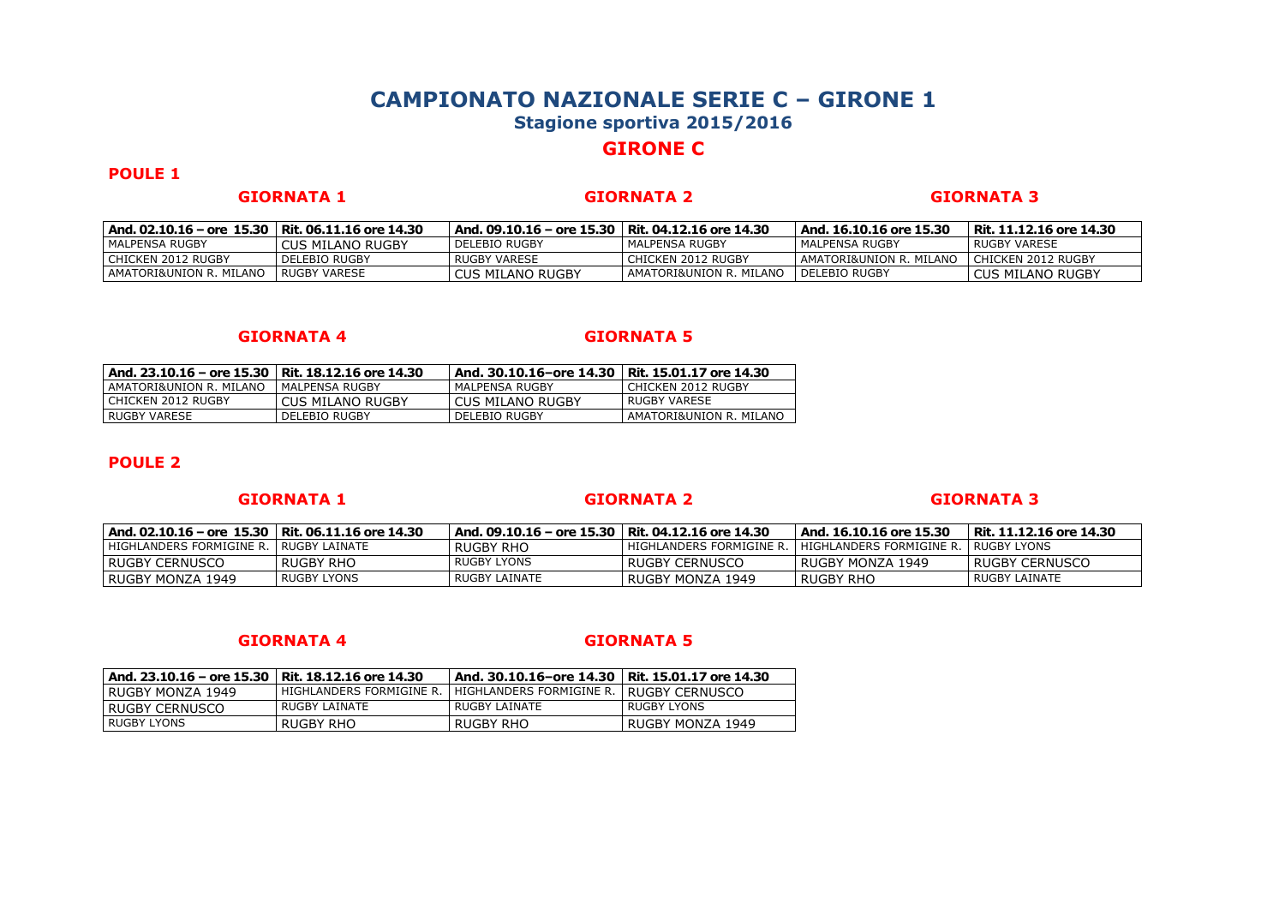# **GIRONE C**

## **POULE 1**

**GIORNATA 1 GIORNATA 2 GIORNATA 3**

| And. 02.10.16 – ore 15.30   Rit. 06.11.16 ore 14.30 |                      | And. 09.10.16 – ore 15.30   Rit. 04.12.16 ore 14.30 |                           | And. 16.10.16 ore 15.30 | Rit. 11.12.16 ore 14.30 |
|-----------------------------------------------------|----------------------|-----------------------------------------------------|---------------------------|-------------------------|-------------------------|
| l MALPENSA RUGBY                                    | CUS MILANO RUGBY     | l delebio rugby                                     | I MALPENSA RUGBY          | l MALPENSA RUGBY        | RUGBY VARESE            |
| I CHICKEN 2012 RUGBY                                | <b>DELEBIO RUGBY</b> | RUGBY VARESE                                        | l CHICKEN 2012 RUGBY      | AMATORI&UNION R. MILANO | CHICKEN 2012 RUGBY      |
| I AMATORI&UNION R. MILANO                           | RUGBY VARESE         | CUS MILANO RUGBY                                    | I AMATORI&UNION R. MILANO | I DELEBIO RUGBY         | <b>CUS MILANO RUGBY</b> |

### **GIORNATA 4 GIORNATA 5**

| And, 23.10.16 – ore 15.30   Rit. 18.12.16 ore 14.30 |                  | And. 30.10.16-ore 14.30 | Rit. 15.01.17 ore 14.30 |
|-----------------------------------------------------|------------------|-------------------------|-------------------------|
| AMATORI&UNION R. MILANO                             | MALPENSA RUGBY   | MALPENSA RUGBY          | CHICKEN 2012 RUGBY      |
| CHICKEN 2012 RUGBY                                  | CUS MILANO RUGBY | CUS MILANO RUGBY        | RUGBY VARESE            |
| RUGBY VARESE                                        | DELEBIO RUGBY    | <b>DELEBIO RUGBY</b>    | AMATORI&UNION R. MILANO |

## **POULE 2**

### **GIORNATA 1 GIORNATA 2 GIORNATA 3**

| And. 02.10.16 – ore 15.30   Rit. 06.11.16 ore 14.30 |             | And. 09.10.16 – ore 15.30   Rit. 04.12.16 ore 14.30 |                                                                   | And. 16.10.16 ore 15.30 | Rit. 11.12.16 ore 14.30 |
|-----------------------------------------------------|-------------|-----------------------------------------------------|-------------------------------------------------------------------|-------------------------|-------------------------|
| l HIGHLANDERS FORMIGINE R. I RUGBY LAINATE          |             | RUGBY RHO                                           | HIGHLANDERS FORMIGINE R.   HIGHLANDERS FORMIGINE R.   RUGBY LYONS |                         |                         |
| I RUGBY CERNUSCO                                    | l RUGBY RHO | RUGBY LYONS                                         | I RUGBY CERNUSCO                                                  | l RUGBY MONZA 1949      | l RUGBY CERNUSCO        |
| l RUGBY MONZA 1949                                  | RUGBY LYONS | RUGBY LAINATE                                       | l RUGBY MONZA 1949                                                | l RUGBY RHO             | I RUGBY LAINATE         |

| And. 23.10.16 – ore 15.30 | Rit. 18.12.16 ore 14.30  | And. 30.10.16–ore 14.30   Rit. 15.01.17 ore 14.30 |                        |
|---------------------------|--------------------------|---------------------------------------------------|------------------------|
| RUGBY MONZA 1949          | HIGHLANDERS FORMIGINE R. | HIGHLANDERS FORMIGINE R.                          | <b>IRUGBY CERNUSCO</b> |
| RUGBY CERNUSCO            | RUGBY LAINATE            | RUGBY LAINATE                                     | <b>RUGBY LYONS</b>     |
| <b>RUGBY LYONS</b>        | RUGBY RHO                | RUGBY RHO                                         | RUGBY MONZA 1949       |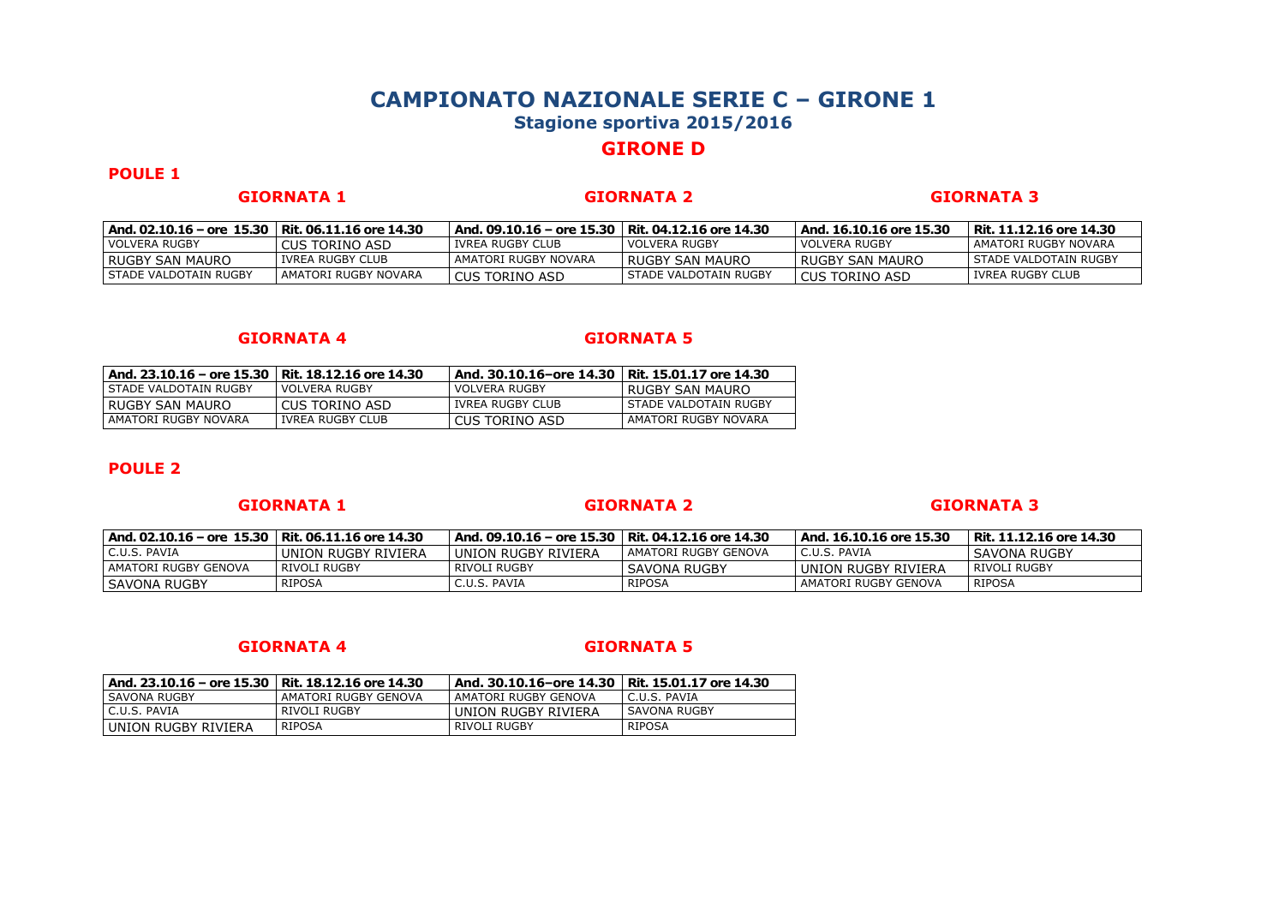# **GIRONE D**

## **POULE 1**

**GIORNATA 1 GIORNATA 2 GIORNATA 3**

| And. 02.10.16 – ore 15.30   Rit. 06.11.16 ore 14.30 |                      | And, 09.10.16 - ore 15.30   Rit, 04.12.16 ore 14.30 |                         | And. 16.10.16 ore 15.30 | Rit. 11.12.16 ore 14.30 |
|-----------------------------------------------------|----------------------|-----------------------------------------------------|-------------------------|-------------------------|-------------------------|
| l VOLVERA RUGBY                                     | CUS TORINO ASD       | I IVREA RUGBY CLUB                                  | I VOLVERA RUGBY         | I VOLVERA RUGBY         | AMATORI RUGBY NOVARA    |
| I RUGBY SAN MAURO                                   | IVREA RUGBY CLUB     | AMATORI RUGBY NOVARA                                | I RUGBY SAN MAURO       | I RUGBY SAN MAURO       | l STADE VALDOTAIN RUGBY |
| I STADE VALDOTAIN RUGBY                             | AMATORI RUGBY NOVARA | CUS TORINO ASD                                      | l STADE VALDOTAIN RUGBY | l CUS TORINO ASD        | IVREA RUGBY CLUB        |

### **GIORNATA 4 GIORNATA 5**

| And. 23.10.16 – ore 15.30 | Rit. 18.12.16 ore 14.30 | And. 30.10.16-ore 14.30   Rit. 15.01.17 ore 14.30 |                       |
|---------------------------|-------------------------|---------------------------------------------------|-----------------------|
| STADE VALDOTAIN RUGBY     | <b>VOLVERA RUGBY</b>    | VOLVERA RUGBY                                     | RUGBY SAN MAURO       |
| RUGBY SAN MAURO           | CUS TORINO ASD          | IVREA RUGBY CLUB                                  | STADE VALDOTAIN RUGBY |
| AMATORI RUGBY NOVARA      | IVREA RUGBY CLUB        | CUS TORINO ASD                                    | AMATORI RUGBY NOVARA  |

## **POULE 2**

### **GIORNATA 1 GIORNATA 2 GIORNATA 3**

| And. 02.10.16 – ore 15.30   Rit. 06.11.16 ore 14.30 |                     | And. 09.10.16 – ore 15.30   Rit. 04.12.16 ore 14.30 |                       | And. 16.10.16 ore 15.30 | Rit. 11.12.16 ore 14.30 |
|-----------------------------------------------------|---------------------|-----------------------------------------------------|-----------------------|-------------------------|-------------------------|
| C.U.S. PAVIA                                        | UNION RUGBY RIVIERA | l UNION RUGBY RIVIERA                               | LAMATORI RUGBY GENOVA | C.U.S. PAVIA            | SAVONA RUGBY            |
| l AMATORI RUGBY GENOVA                              | RIVOLI RUGBY        | l RIVOLI RUGBY                                      | SAVONA RUGBY          | UNION RUGBY RIVIERA     | RIVOLI RUGBY            |
| l SAVONA RUGBY                                      | <b>RIPOSA</b>       | C.U.S. PAVIA                                        | RIPOSA                | AMATORI RUGBY GENOVA    | RIPOSA                  |

| And. 23.10.16 – ore 15.30   Rit. 18.12.16 ore 14.30 |                      | And. 30.10.16-ore 14.30   Rit. 15.01.17 ore 14.30 |              |
|-----------------------------------------------------|----------------------|---------------------------------------------------|--------------|
| SAVONA RUGBY                                        | AMATORI RUGBY GENOVA | AMATORI RUGBY GENOVA                              | C.U.S. PAVIA |
| C.U.S. PAVIA                                        | RIVOLI RUGBY         | UNION RUGBY RIVIERA                               | SAVONA RUGBY |
| UNION RUGBY RIVIERA                                 | <b>RIPOSA</b>        | RIVOLI RUGBY                                      | RIPOSA       |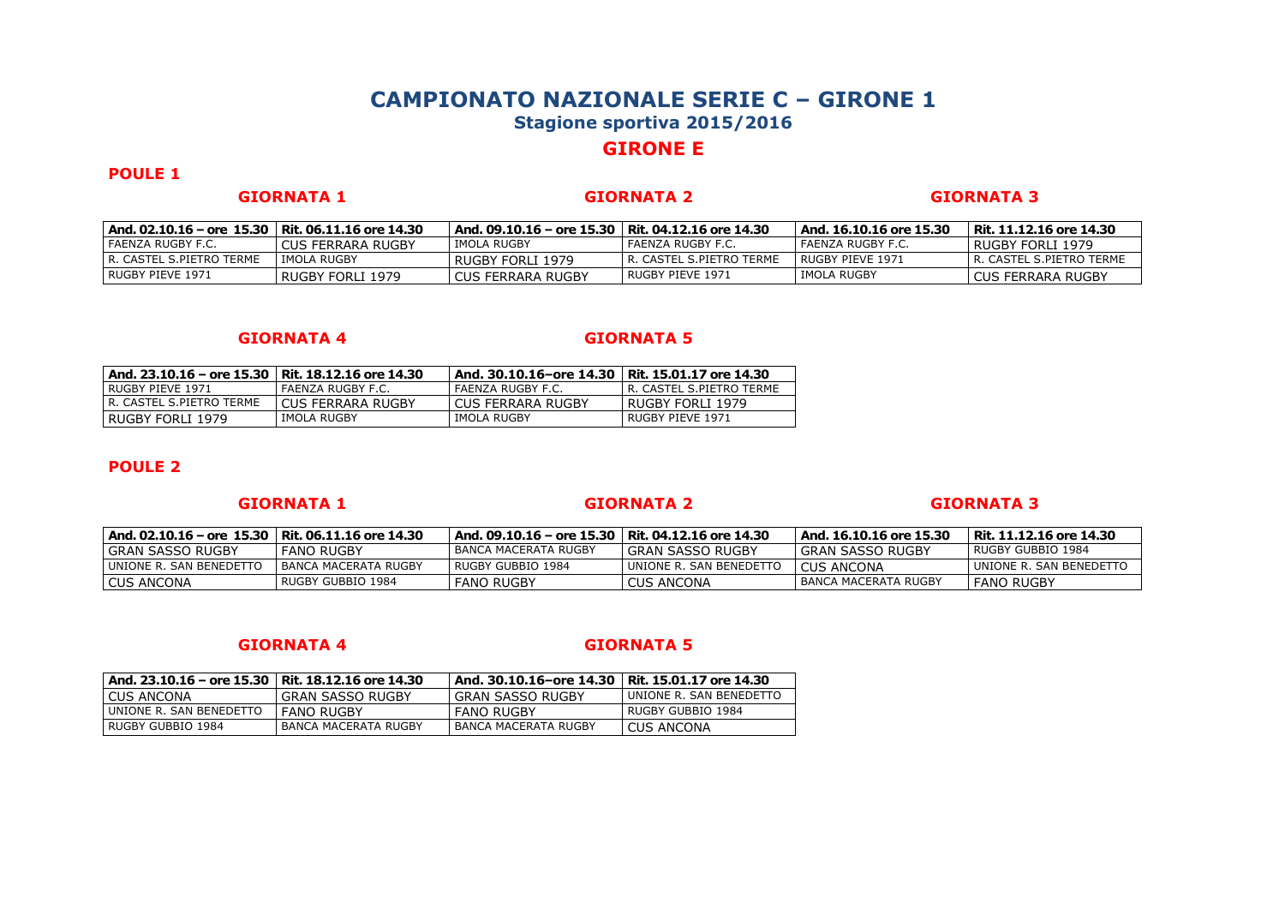# **GIRONE E**

## **POULE 1**

**GIORNATA 1 GIORNATA 2 GIORNATA 3**

| And. 02.10.16 – ore 15.30   Rit. 06.11.16 ore 14.30 |                   | And. 09.10.16 – ore 15.30   Rit. 04.12.16 ore 14.30 |                            | And. 16.10.16 ore 15.30 | Rit. 11.12.16 ore 14.30    |
|-----------------------------------------------------|-------------------|-----------------------------------------------------|----------------------------|-------------------------|----------------------------|
| I FAENZA RUGBY F.C.                                 | CUS FERRARA RUGBY | IMOLA RUGBY                                         | l FAENZA RUGBY F.C.        | l FAENZA RUGBY F.C.     | l RUGBY FORLI 1979         |
| l R. CASTEL S.PIETRO TERME                          | IMOLA RUGBY       | l RUGBY FORLI 1979                                  | l R. CASTEL S.PIETRO TERME | I RUGBY PIEVE 1971      | l R. CASTEL S.PIETRO TERME |
| RUGBY PIEVE 1971                                    | RUGBY FORLI 1979  | I CUS FERRARA RUGBY                                 | RUGBY PIEVE 1971           | l IMOLA RUGBY           | CUS FERRARA RUGBY          |

### **GIORNATA 4 GIORNATA 5**

| And. 23.10.16 – ore 15.30   Rit. 18.12.16 ore 14.30 |                   | And. 30.10.16-ore 14.30   Rit. 15.01.17 ore 14.30 |                            |
|-----------------------------------------------------|-------------------|---------------------------------------------------|----------------------------|
| RUGBY PIEVE 1971                                    | FAENZA RUGBY F.C. | FAENZA RUGBY F.C.                                 | I R. CASTEL S.PIETRO TERME |
| R. CASTEL S.PIETRO TERME                            | CUS FERRARA RUGBY | I CUS FERRARA RUGBY                               | RUGBY FORLI 1979           |
| RUGBY FORLI 1979                                    | IMOLA RUGBY       | IMOLA RUGBY                                       | RUGBY PIEVE 1971           |

## **POULE 2**

### **GIORNATA 1 GIORNATA 2 GIORNATA 3**

| And. 02.10.16 – ore 15.30   Rit. 06.11.16 ore 14.30 |                      | And. 09.10.16 – ore 15.30   Rit. 04.12.16 ore 14.30 |                         | And. 16.10.16 ore 15.30 | Rit. 11.12.16 ore 14.30  |
|-----------------------------------------------------|----------------------|-----------------------------------------------------|-------------------------|-------------------------|--------------------------|
| l GRAN SASSO RUGBY                                  | FANO RUGBY           | BANCA MACERATA RUGBY                                | l GRAN SASSO RUGBY      | l GRAN SASSO RUGBY      | I RUGBY GUBBIO 1984      |
| UNIONE R. SAN BENEDETTO                             | BANCA MACERATA RUGBY | RUGBY GUBBIO 1984                                   | UNIONE R. SAN BENEDETTO | CUS ANCONA              | LUNIONE R. SAN BENEDETTC |
| <b>CUS ANCONA</b>                                   | RUGBY GUBBIO 1984    | <b>FANO RUGBY</b>                                   | <b>CUS ANCONA</b>       | BANCA MACERATA RUGBY    | <b>FANO RUGBY</b>        |

| And. 23.10.16 - ore 15.30   Rit. 18.12.16 ore 14.30 |                      | And. 30.10.16-ore 14.30 | Rit. 15.01.17 ore 14.30 |
|-----------------------------------------------------|----------------------|-------------------------|-------------------------|
| I CUS ANCONA                                        | GRAN SASSO RUGBY     | I GRAN SASSO RUGBY      | UNIONE R. SAN BENEDETTO |
| UNIONE R. SAN BENEDETTO                             | <b>FANO RUGBY</b>    | <b>FANO RUGBY</b>       | RUGBY GUBBIO 1984       |
| l RUGBY GUBBIO 1984                                 | BANCA MACERATA RUGBY | BANCA MACERATA RUGBY    | <b>CUS ANCONA</b>       |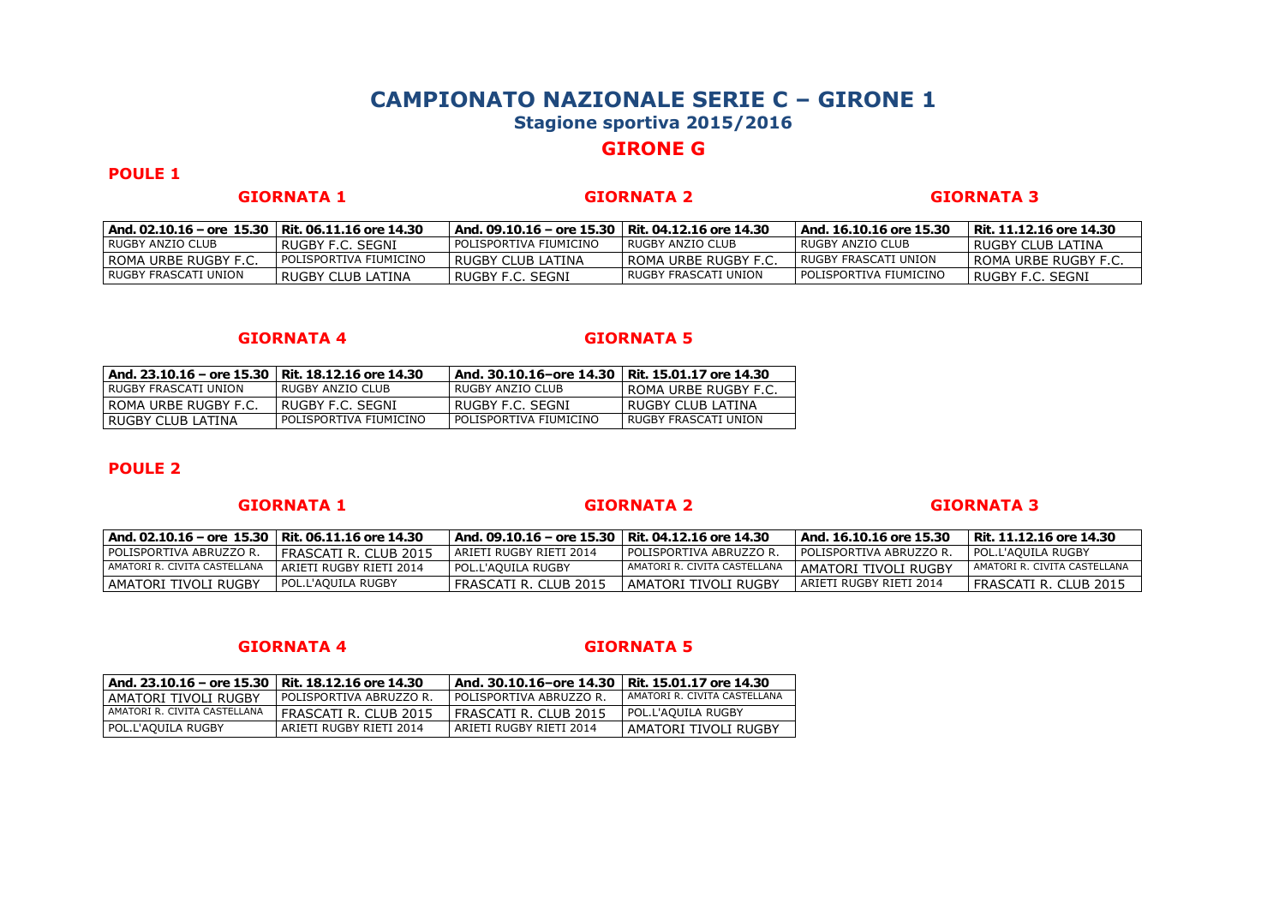# **GIRONE G**

## **POULE 1**

**GIORNATA 1 GIORNATA 2 GIORNATA 3**

| And. 02.10.16 – ore 15.30   Rit. 06.11.16 ore 14.30 |                        | And, 09.10.16 - ore 15.30   Rit, 04.12.16 ore 14.30 |                      | And. 16.10.16 ore 15.30 | Rit. 11.12.16 ore 14.30 |
|-----------------------------------------------------|------------------------|-----------------------------------------------------|----------------------|-------------------------|-------------------------|
| I RUGBY ANZIO CLUB                                  | RUGBY F.C. SEGNI       | POLISPORTIVA FIUMICINO                              | RUGBY ANZIO CLUB     | l RUGBY ANZIO CLUB      | l RUGBY CLUB LATINA     |
| I ROMA URBE RUGBY F.C                               | POLISPORTIVA FIUMICINO | RUGBY CLUB LATINA                                   | l ROMA URBE RUGBY F. | I RUGBY FRASCATI UNION  | I ROMA URBE RUGBY F.C   |
| I RUGBY FRASCATI UNION                              | RUGBY CLUB LATINA      | RUGBY F.C. SEGNI                                    | RUGBY FRASCATI UNION | POLISPORTIVA FIUMICINO  | RUGBY F.C. SEGNI        |

### **GIORNATA 4 GIORNATA 5**

| And. 23.10.16 - ore 15.30 | Rit. 18.12.16 ore 14.30 | And. 30.10.16-ore 14.30 | Rit. 15.01.17 ore 14.30 |
|---------------------------|-------------------------|-------------------------|-------------------------|
| RUGBY FRASCATI UNION      | RUGBY ANZIO CLUB        | RUGBY ANZIO CLUB        | ROMA URBE RUGBY F.C.    |
| ROMA URBE RUGBY F.C.      | RUGBY F.C. SEGNI        | RUGBY F.C. SEGNI        | RUGBY CLUB LATINA       |
| RUGBY CLUB LATINA         | POLISPORTIVA FIUMICINO  | POLISPORTIVA FIUMICINO  | RUGBY FRASCATI UNION    |

## **POULE 2**

### **GIORNATA 1 GIORNATA 2 GIORNATA 3**

| And. 02.10.16 – ore 15.30   Rit. 06.11.16 ore 14.30 |                         | And. 09.10.16 – ore 15.30   Rit. 04.12.16 ore 14.30 |                                | And. 16.10.16 ore 15.30   | Rit. 11.12.16 ore 14.30      |
|-----------------------------------------------------|-------------------------|-----------------------------------------------------|--------------------------------|---------------------------|------------------------------|
| I POLISPORTIVA ABRUZZO R.                           | I FRASCATI R. CLUB 2015 | I ARIETI RUGBY RIETI 2014                           | POLISPORTIVA ABRUZZO R.        | I POLISPORTIVA ABRUZZO R. | I POL.L'AOUILA RUGBY         |
| LAMATORI R. CIVITA CASTELLANA                       | ARIETI RUGBY RIETI 2014 | l POL.L'AOUILA RUGBY                                | I AMATORI R. CIVITA CASTELLANA | AMATORI TIVOLI RUGBY      | AMATORI R. CIVITA CASTELLANA |
| I AMATORI TIVOLI RUGBY                              | l POL.L'AOUILA RUGBY    | l FRASCATI R. CLUB 2015                             | AMATORI TIVOLI RUGBY           | ARIETI RUGBY RIETI 2014   | FRASCATI R. CLUB 2015        |

| And. 23.10.16 - ore 15.30   Rit. 18.12.16 ore 14.30 |                         | And. 30.10.16-ore 14.30 | Rit. 15.01.17 ore 14.30      |
|-----------------------------------------------------|-------------------------|-------------------------|------------------------------|
| l AMATORI TIVOLI RUGBY                              | POLISPORTIVA ABRUZZO R. | POLISPORTIVA ABRUZZO R. | AMATORI R. CIVITA CASTELLANA |
| I AMATORI R. CIVITA CASTELLANA                      | FRASCATI R. CLUB 2015   | FRASCATI R. CLUB 2015   | POL.L'AOUILA RUGBY           |
| POL.L'AQUILA RUGBY                                  | ARIETI RUGBY RIETI 2014 | ARIETI RUGBY RIETI 2014 | AMATORI TIVOLI RUGBY         |